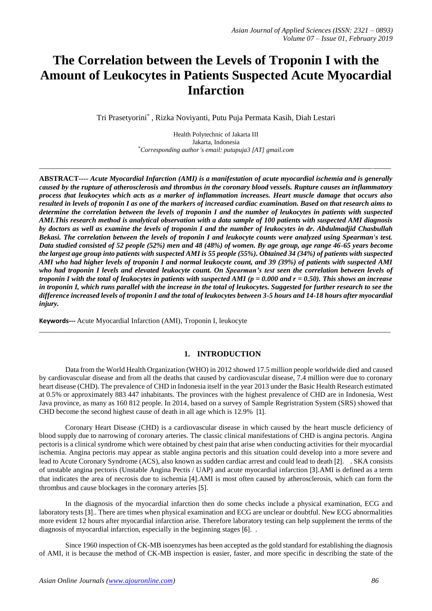# **The Correlation between the Levels of Troponin I with the Amount of Leukocytes in Patients Suspected Acute Myocardial Infarction**

Tri Prasetyorini\* , Rizka Noviyanti, Putu Puja Permata Kasih, Diah Lestari

Health Polytechnic of Jakarta III Jakarta, Indonesia \**Corresponding author's email: putupuja3 [AT] gmail.com*

*\_\_\_\_\_\_\_\_\_\_\_\_\_\_\_\_\_\_\_\_\_\_\_\_\_\_\_\_\_\_\_\_\_\_\_\_\_\_\_\_\_\_\_\_\_\_\_\_\_\_\_\_\_\_\_\_\_\_\_\_\_\_\_\_\_\_\_\_\_\_\_\_\_\_\_\_\_\_\_\_\_\_\_\_\_\_\_\_\_\_\_\_\_\_\_\_\_*

**ABSTRACT----** *Acute Myocardial Infarction (AMI) is a manifestation of acute myocardial ischemia and is generally caused by the rupture of atherosclerosis and thrombus in the coronary blood vessels. Rupture causes an inflammatory process that leukocytes which acts as a marker of inflammation increases. Heart muscle damage that occurs also resulted in levels of troponin I as one of the markers of increased cardiac examination. Based on that research aims to determine the correlation between the levels of troponin I and the number of leukocytes in patients with suspected AMI.This research method is analytical observation with a data sample of 100 patients with suspected AMI diagnosis by doctors as well as examine the levels of troponin I and the number of leukocytes in dr. Abdulmadjid Chasbullah Bekasi. The correlation between the levels of troponin I and leukocyte counts were analyzed using Spearman's test. Data studied consisted of 52 people (52%) men and 48 (48%) of women. By age group, age range 46-65 years become the largest age group into patients with suspected AMI is 55 people (55%). Obtained 34 (34%) of patients with suspected AMI who had higher levels of troponin I and normal leukocyte count, and 39 (39%) of patients with suspected AMI who had troponin I levels and elevated leukocyte count. On Spearman's test seen the correlation between levels of troponin I with the total of leukocytes in patients with suspected AMI (p = 0.000 and r = 0.50). This shows an increase in troponin I, which runs parallel with the increase in the total of leukocytes. Suggested for further research to see the difference increased levels of troponin I and the total of leukocytes between 3-5 hours and 14-18 hours after myocardial injury.*

**Keywords---** Acute Myocardial Infarction (AMI), Troponin I, leukocyte

# **1. INTRODUCTION**

 $\_$  ,  $\_$  ,  $\_$  ,  $\_$  ,  $\_$  ,  $\_$  ,  $\_$  ,  $\_$  ,  $\_$  ,  $\_$  ,  $\_$  ,  $\_$  ,  $\_$  ,  $\_$  ,  $\_$  ,  $\_$  ,  $\_$  ,  $\_$  ,  $\_$  ,  $\_$  ,  $\_$  ,  $\_$  ,  $\_$  ,  $\_$  ,  $\_$  ,  $\_$  ,  $\_$  ,  $\_$  ,  $\_$  ,  $\_$  ,  $\_$  ,  $\_$  ,  $\_$  ,  $\_$  ,  $\_$  ,  $\_$  ,  $\_$  ,

Data from the World Health Organization (WHO) in 2012 showed 17.5 million people worldwide died and caused by cardiovascular disease and from all the deaths that caused by cardiovascular disease, 7.4 million were due to coronary heart disease (CHD). The prevalence of CHD in Indonesia itself in the year 2013 under the Basic Health Research estimated at 0.5% or approximately 883 447 inhabitants. The provinces with the highest prevalence of CHD are in Indonesia, West Java province, as many as 160 812 people. In 2014, based on a survey of Sample Regristration System (SRS) showed that CHD become the second highest cause of death in all age which is 12.9% [1].

Coronary Heart Disease (CHD) is a cardiovascular disease in which caused by the heart muscle deficiency of blood supply due to narrowing of coronary arteries. The classic clinical manifestations of CHD is angina pectoris. Angina pectoris is a clinical syndrome which were obtained by chest pain that arise when conducting activities for their myocardial ischemia. Angina pectoris may appear as stable angina pectoris and this situation could develop into a more severe and lead to Acute Coronary Syndrome (ACS), also known as sudden cardiac arrest and could lead to death [2]. . SKA consists of unstable angina pectoris (Unstable Angina Pectis / UAP) and acute myocardial infarction [3].AMI is defined as a term that indicates the area of necrosis due to ischemia [4].AMI is most often caused by atherosclerosis, which can form the thrombus and cause blockages in the coronary arteries [5].

In the diagnosis of the myocardial infarction then do some checks include a physical examination, ECG and laboratory tests [3].. There are times when physical examination and ECG are unclear or doubtful. New ECG abnormalities more evident 12 hours after myocardial infarction arise. Therefore laboratory testing can help supplement the terms of the diagnosis of myocardial infarction, especially in the beginning stages [6]. .

Since 1960 inspection of CK-MB isoenzymes has been accepted as the gold standard for establishing the diagnosis of AMI, it is because the method of CK-MB inspection is easier, faster, and more specific in describing the state of the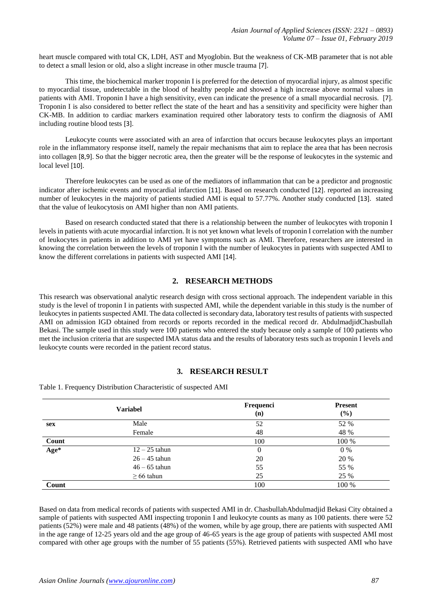heart muscle compared with total CK, LDH, AST and Myoglobin. But the weakness of CK-MB parameter that is not able to detect a small lesion or old, also a slight increase in other muscle trauma [7].

This time, the biochemical marker troponin I is preferred for the detection of myocardial injury, as almost specific to myocardial tissue, undetectable in the blood of healthy people and showed a high increase above normal values in patients with AMI. Troponin I have a high sensitivity, even can indicate the presence of a small myocardial necrosis. [7]. Troponin I is also considered to better reflect the state of the heart and has a sensitivity and specificity were higher than CK-MB. In addition to cardiac markers examination required other laboratory tests to confirm the diagnosis of AMI including routine blood tests [3].

Leukocyte counts were associated with an area of infarction that occurs because leukocytes plays an important role in the inflammatory response itself, namely the repair mechanisms that aim to replace the area that has been necrosis into collagen [8,9]. So that the bigger necrotic area, then the greater will be the response of leukocytes in the systemic and local level [10].

Therefore leukocytes can be used as one of the mediators of inflammation that can be a predictor and prognostic indicator after ischemic events and myocardial infarction [11]. Based on research conducted [12]. reported an increasing number of leukocytes in the majority of patients studied AMI is equal to 57.77%. Another study conducted [13]. stated that the value of leukocytosis on AMI higher than non AMI patients.

Based on research conducted stated that there is a relationship between the number of leukocytes with troponin I levels in patients with acute myocardial infarction. It is not yet known what levels of troponin I correlation with the number of leukocytes in patients in addition to AMI yet have symptoms such as AMI. Therefore, researchers are interested in knowing the correlation between the levels of troponin I with the number of leukocytes in patients with suspected AMI to know the different correlations in patients with suspected AMI [14].

# **2. RESEARCH METHODS**

This research was observational analytic research design with cross sectional approach. The independent variable in this study is the level of troponin I in patients with suspected AMI, while the dependent variable in this study is the number of leukocytes in patients suspected AMI. The data collected is secondary data, laboratory test results of patients with suspected AMI on admission IGD obtained from records or reports recorded in the medical record dr. AbdulmadjidChasbullah Bekasi. The sample used in this study were 100 patients who entered the study because only a sample of 100 patients who met the inclusion criteria that are suspected IMA status data and the results of laboratory tests such as troponin I levels and leukocyte counts were recorded in the patient record status.

### **3. RESEARCH RESULT**

| <b>Variabel</b> |                 | Frequenci<br>(n) | <b>Present</b><br>(%) |  |
|-----------------|-----------------|------------------|-----------------------|--|
| sex             | Male            | 52               | 52 %                  |  |
|                 | Female          | 48               | 48 %                  |  |
| Count           |                 | 100              | 100 %                 |  |
| Age*            | $12 - 25$ tahun | 0                | $0\%$                 |  |
|                 | $26 - 45$ tahun | 20               | 20 %                  |  |
|                 | $46 - 65$ tahun | 55               | 55 %                  |  |
|                 | $\geq 66$ tahun | 25               | 25 %                  |  |
| Count           |                 | 100              | 100 %                 |  |

Table 1. Frequency Distribution Characteristic of suspected AMI

Based on data from medical records of patients with suspected AMI in dr. ChasbullahAbdulmadjid Bekasi City obtained a sample of patients with suspected AMI inspecting troponin I and leukocyte counts as many as 100 patients. there were 52 patients (52%) were male and 48 patients (48%) of the women, while by age group, there are patients with suspected AMI in the age range of 12-25 years old and the age group of 46-65 years is the age group of patients with suspected AMI most compared with other age groups with the number of 55 patients (55%). Retrieved patients with suspected AMI who have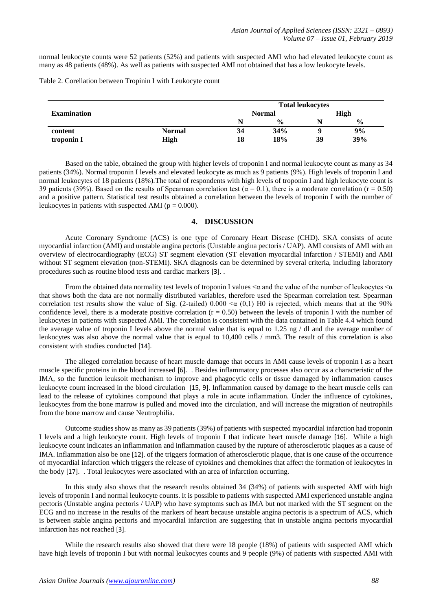normal leukocyte counts were 52 patients (52%) and patients with suspected AMI who had elevated leukocyte count as many as 48 patients (48%). As well as patients with suspected AMI not obtained that has a low leukocyte levels.

Table 2. Corellation between Tropinin I with Leukocyte count

|                    | <b>Total leukocytes</b> |               |               |      |               |
|--------------------|-------------------------|---------------|---------------|------|---------------|
| <b>Examination</b> |                         | <b>Normal</b> |               | High |               |
|                    |                         |               | $\frac{0}{0}$ |      | $\frac{0}{0}$ |
| content            | <b>Normal</b>           | 34            | 34%           |      | 9%            |
| troponin I         | High                    | 18            | 18%           | 39   | 39%           |

Based on the table, obtained the group with higher levels of troponin I and normal leukocyte count as many as 34 patients (34%). Normal troponin I levels and elevated leukocyte as much as 9 patients (9%). High levels of troponin I and normal leukocytes of 18 patients (18%). The total of respondents with high levels of troponin I and high leukocyte count is 39 patients (39%). Based on the results of Spearman correlation test ( $\alpha = 0.1$ ), there is a moderate correlation (r = 0.50) and a positive pattern. Statistical test results obtained a correlation between the levels of troponin I with the number of leukocytes in patients with suspected AMI ( $p = 0.000$ ).

## **4. DISCUSSION**

Acute Coronary Syndrome (ACS) is one type of Coronary Heart Disease (CHD). SKA consists of acute myocardial infarction (AMI) and unstable angina pectoris (Unstable angina pectoris / UAP). AMI consists of AMI with an overview of electrocardiography (ECG) ST segment elevation (ST elevation myocardial infarction / STEMI) and AMI without ST segment elevation (non-STEMI). SKA diagnosis can be determined by several criteria, including laboratory procedures such as routine blood tests and cardiac markers [3]. .

From the obtained data normality test levels of troponin I values  $\leq \alpha$  and the value of the number of leukocytes  $\leq \alpha$ that shows both the data are not normally distributed variables, therefore used the Spearman correlation test. Spearman correlation test results show the value of Sig. (2-tailed)  $0.000 < \alpha$  (0,1) H0 is rejected, which means that at the 90% confidence level, there is a moderate positive correlation  $(r = 0.50)$  between the levels of troponin I with the number of leukocytes in patients with suspected AMI. The correlation is consistent with the data contained in Table 4.4 which found the average value of troponin I levels above the normal value that is equal to 1.25 ng / dl and the average number of leukocytes was also above the normal value that is equal to 10,400 cells / mm3. The result of this correlation is also consistent with studies conducted [14].

The alleged correlation because of heart muscle damage that occurs in AMI cause levels of troponin I as a heart muscle specific proteins in the blood increased [6]. . Besides inflammatory processes also occur as a characteristic of the IMA, so the function leuksoit mechanism to improve and phagocytic cells or tissue damaged by inflammation causes leukocyte count increased in the blood circulation [15, 9]. Inflammation caused by damage to the heart muscle cells can lead to the release of cytokines compound that plays a role in acute inflammation. Under the influence of cytokines, leukocytes from the bone marrow is pulled and moved into the circulation, and will increase the migration of neutrophils from the bone marrow and cause Neutrophilia.

Outcome studies show as many as 39 patients (39%) of patients with suspected myocardial infarction had troponin I levels and a high leukocyte count. High levels of troponin I that indicate heart muscle damage [16]. While a high leukocyte count indicates an inflammation and inflammation caused by the rupture of atherosclerotic plaques as a cause of IMA. Inflammation also be one [12]. of the triggers formation of atherosclerotic plaque, that is one cause of the occurrence of myocardial infarction which triggers the release of cytokines and chemokines that affect the formation of leukocytes in the body [17]. . Total leukocytes were associated with an area of infarction occurring.

In this study also shows that the research results obtained 34 (34%) of patients with suspected AMI with high levels of troponin I and normal leukocyte counts. It is possible to patients with suspected AMI experienced unstable angina pectoris (Unstable angina pectoris / UAP) who have symptoms such as IMA but not marked with the ST segment on the ECG and no increase in the results of the markers of heart because unstable angina pectoris is a spectrum of ACS, which is between stable angina pectoris and myocardial infarction are suggesting that in unstable angina pectoris myocardial infarction has not reached [3].

While the research results also showed that there were 18 people (18%) of patients with suspected AMI which have high levels of troponin I but with normal leukocytes counts and 9 people (9%) of patients with suspected AMI with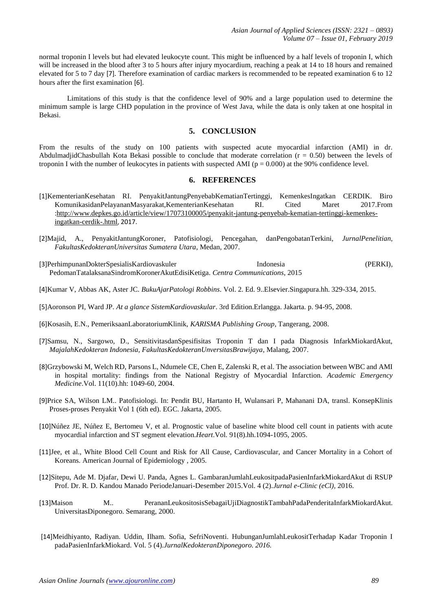normal troponin I levels but had elevated leukocyte count. This might be influenced by a half levels of troponin I, which will be increased in the blood after 3 to 5 hours after injury myocardium, reaching a peak at 14 to 18 hours and remained elevated for 5 to 7 day [7]. Therefore examination of cardiac markers is recommended to be repeated examination 6 to 12 hours after the first examination [6].

Limitations of this study is that the confidence level of 90% and a large population used to determine the minimum sample is large CHD population in the province of West Java, while the data is only taken at one hospital in Bekasi.

#### **5. CONCLUSION**

From the results of the study on 100 patients with suspected acute myocardial infarction (AMI) in dr. AbdulmadjidChasbullah Kota Bekasi possible to conclude that moderate correlation  $(r = 0.50)$  between the levels of troponin I with the number of leukocytes in patients with suspected AMI ( $p = 0.000$ ) at the 90% confidence level.

#### **6. REFERENCES**

- [1]KementerianKesehatan RI. PenyakitJantungPenyebabKematianTertinggi, KemenkesIngatkan CERDIK. Biro KomunikasidanPelayananMasyarakat,KementerianKesehatan RI. Cited Maret 2017.From [:http://www.depkes.go.id/article/view/17073100005/penyakit-jantung-penyebab-kematian-tertinggi-kemenkes](http://www.depkes.go.id/article/view/17073100005/penyakit-jantung-penyebab-kematian-tertinggi-kemenkes-ingatkan-cerdik-.html)[ingatkan-cerdik-.html](http://www.depkes.go.id/article/view/17073100005/penyakit-jantung-penyebab-kematian-tertinggi-kemenkes-ingatkan-cerdik-.html), 2017.
- [2]Majid, A., PenyakitJantungKoroner, Patofisiologi, Pencegahan, danPengobatanTerkini, *JurnalPenelitian, FakultasKedokteranUniversitas Sumatera Utara*, Medan, 2007.
- [3]PerhimpunanDokterSpesialisKardiovaskuler Indonesia Indonesia (PERKI), PedomanTatalaksanaSindromKoronerAkutEdisiKetiga. *Centra Communications*, 2015
- [4]Kumar V, Abbas AK, Aster JC. *BukuAjarPatologi Robbins*. Vol. 2. Ed. 9..Elsevier.Singapura.hh. 329-334, 2015.
- [5]Aoronson PI, Ward JP. *At a glance SistemKardiovaskular*. 3rd Edition.Erlangga. Jakarta. p. 94-95, 2008.
- [6]Kosasih, E.N., PemeriksaanLaboratoriumKlinik, *KARISMA Publishing Group*, Tangerang, 2008.
- [7]Samsu, N., Sargowo, D., SensitivitasdanSpesifisitas Troponin T dan I pada Diagnosis InfarkMiokardAkut, *MajalahKedokteran Indonesia, FakultasKedokteranUnversitasBrawijaya*, Malang, 2007.
- [8]Grzybowski M, Welch RD, Parsons L, Ndumele CE, Chen E, Zalenski R, et al. The association between WBC and AMI in hospital mortality: findings from the National Registry of Myocardial Infarction. *Academic Emergency Medicine*.Vol. 11(10).hh: 1049-60, 2004.
- [9]Price SA, Wilson LM.. Patofisiologi. In: Pendit BU, Hartanto H, Wulansari P, Mahanani DA, transl. KonsepKlinis Proses-proses Penyakit Vol 1 (6th ed). EGC. Jakarta, 2005.
- [10]Núñez JE, Núñez E, Bertomeu V, et al. Prognostic value of baseline white blood cell count in patients with acute myocardial infarction and ST segment elevation.*Heart*.Vol. 91(8).hh.1094-1095, 2005.
- [11]Jee, et al., White Blood Cell Count and Risk for All Cause, Cardiovascular, and Cancer Mortality in a Cohort of Koreans. American Journal of Epidemiology , 2005.
- [12]Sitepu, Ade M. Djafar, Dewi U. Panda, Agnes L. GambaranJumlahLeukositpadaPasienInfarkMiokardAkut di RSUP Prof. Dr. R. D. Kandou Manado PeriodeJanuari-Desember 2015.Vol. 4 (2).*Jurnal e-Clinic (eCl),* 2016.
- [13]Maison M.. PerananLeukositosisSebagaiUjiDiagnostikTambahPadaPenderitaInfarkMiokardAkut. UniversitasDiponegoro. Semarang, 2000.
- [14]Meidhiyanto, Radiyan. Uddin, Ilham. Sofia, SefriNoventi. HubunganJumlahLeukositTerhadap Kadar Troponin I padaPasienInfarkMiokard. Vol. 5 (4).*JurnalKedokteranDiponegoro. 2016.*